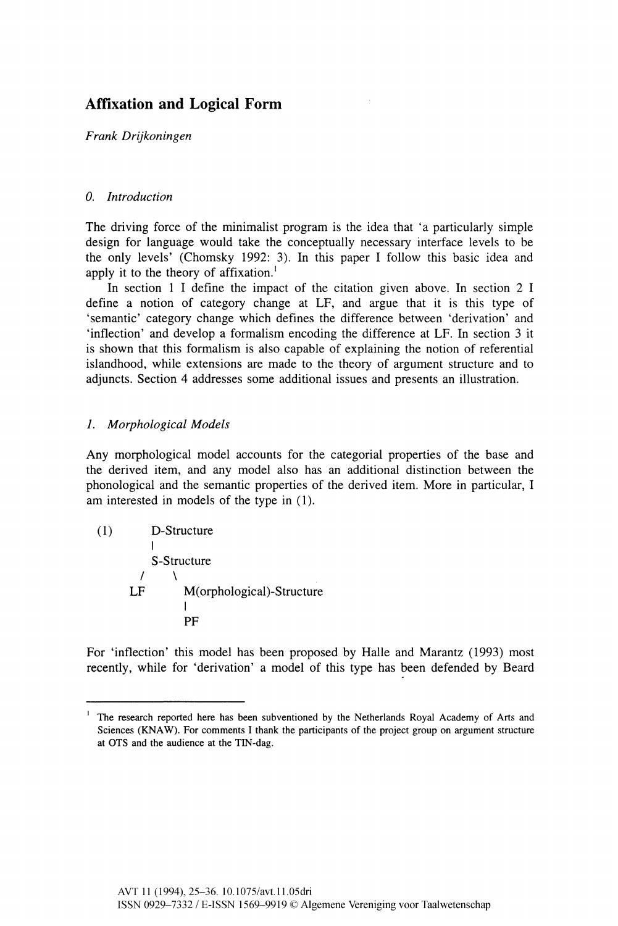# **Affixation and Logical Form**

*Frank Drijkoningen* 

## *0. Introduction*

The driving force of the minimalist program is the idea that 'a particularly simple design for language would take the conceptually necessary interface levels to be the only levels' (Chomsky 1992: 3). In this paper I follow this basic idea and apply it to the theory of affixation.<sup>1</sup>

In section 1 I define the impact of the citation given above. In section 2 I define a notion of category change at LF, and argue that it is this type of 'semantic' category change which defines the difference between 'derivation' and 'inflection' and develop a formalism encoding the difference at LF. In section 3 it is shown that this formalism is also capable of explaining the notion of referential islandhood, while extensions are made to the theory of argument structure and to adjuncts. Section 4 addresses some additional issues and presents an illustration.

# *1. Morphological Models*

Any morphological model accounts for the categorial properties of the base and the derived item, and any model also has an additional distinction between the phonological and the semantic properties of the derived item. More in particular, I am interested in models of the type in (1).

(1) D-Structure  $\mathbf{I}$ S-Structure  $\prime$  $\lambda$ M(orphological)-Structure LF PF

For 'inflection' this model has been proposed by Halle and Marantz (1993) most recently, while for 'derivation' a model of this type has been defended by Beard

**<sup>1</sup>The research reported here has been subventioned by the Netherlands Royal Academy of Arts and Sciences (KNAW). For comments I thank the participants of the project group on argument structure at OTS and the audience at the TIN-dag.**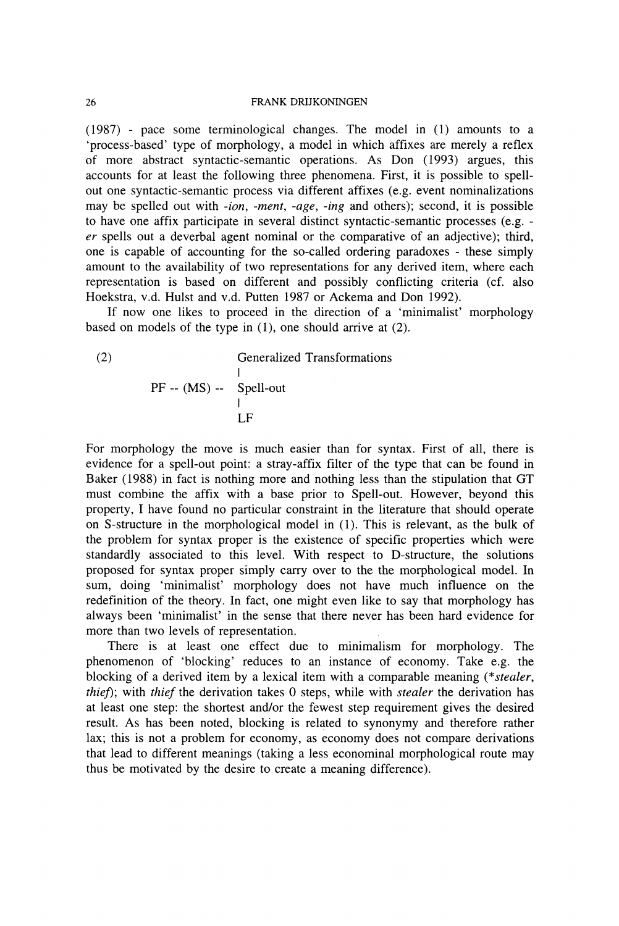(1987) - pace some terminological changes. The model in (1) amounts to a 'process-based' type of morphology, a model in which affixes are merely a reflex of more abstract syntactic-semantic operations. As Don (1993) argues, this accounts for at least the following three phenomena. First, it is possible to spellout one syntactic-semantic process via different affixes (e.g. event nominalizations may be spelled out with *-ion, -merit, -age, -ing* and others); second, it is possible to have one affix participate in several distinct syntactic-semantic processes (e.g. *er* spells out a deverbal agent nominal or the comparative of an adjective); third, one is capable of accounting for the so-called ordering paradoxes - these simply amount to the availability of two representations for any derived item, where each representation is based on different and possibly conflicting criteria (cf. also Hoekstra, v.d. Hulst and v.d. Putten 1987 or Ackema and Don 1992).

If now one likes to proceed in the direction of a 'minimalist' morphology based on models of the type in (1), one should arrive at (2).

(2) Generalized Transformations | PF -- (MS) -- Spell-out | LF

For morphology the move is much easier than for syntax. First of all, there is evidence for a spell-out point: a stray-affix filter of the type that can be found in Baker (1988) in fact is nothing more and nothing less than the stipulation that GT must combine the affix with a base prior to Spell-out. However, beyond this property, I have found no particular constraint in the literature that should operate on S-structure in the morphological model in (1). This is relevant, as the bulk of the problem for syntax proper is the existence of specific properties which were standardly associated to this level. With respect to D-structure, the solutions proposed for syntax proper simply carry over to the the morphological model. In sum, doing 'minimalist' morphology does not have much influence on the redefinition of the theory. In fact, one might even like to say that morphology has always been 'minimalist' in the sense that there never has been hard evidence for more than two levels of representation.

There is at least one effect due to minimalism for morphology. The phenomenon of 'blocking' reduces to an instance of economy. Take e.g. the blocking of a derived item by a lexical item with a comparable meaning (\*s*tealer, thief*); with *thief* the derivation takes 0 steps, while with *stealer* the derivation has at least one step: the shortest and/or the fewest step requirement gives the desired result. As has been noted, blocking is related to synonymy and therefore rather lax; this is not a problem for economy, as economy does not compare derivations that lead to different meanings (taking a less econominal morphological route may thus be motivated by the desire to create a meaning difference).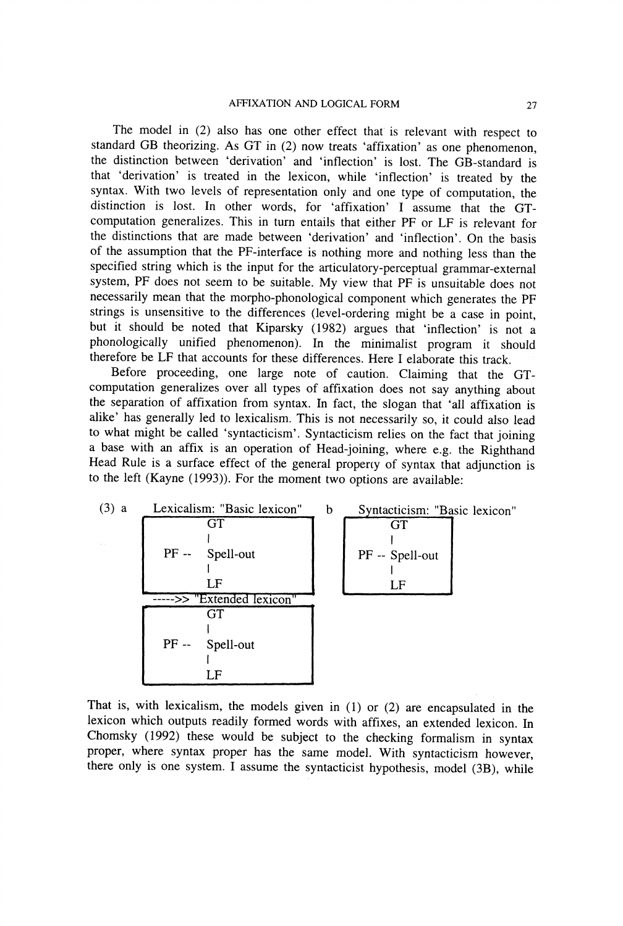The model in (2) also has one other effect that is relevant with respect to standard GB theorizing. As GT in (2) now treats 'affixation' as one phenomenon, the distinction between 'derivation' and 'inflection' is lost. The GB-standard is that 'derivation' is treated in the lexicon, while 'inflection' is treated by the syntax. With two levels of representation only and one type of computation, the distinction is lost. In other words, for 'affixation' I assume that the GTcomputation generalizes. This in turn entails that either PF or LF is relevant for the distinctions that are made between 'derivation' and 'inflection'. On the basis of the assumption that the PF-interface is nothing more and nothing less than the specified string which is the input for the articulatory-perceptual grammar-external system, PF does not seem to be suitable. My view that PF is unsuitable does not necessarily mean that the morpho-phonological component which generates the PF strings is unsensitive to the differences (level-ordering might be a case in point, but it should be noted that Kiparsky (1982) argues that 'inflection' is not a phonologically unified phenomenon). In the minimalist program it should therefore be LF that accounts for these differences. Here I elaborate this track.

Before proceeding, one large note of caution. Claiming that the GTcomputation generalizes over all types of affixation does not say anything about the separation of affixation from syntax. In fact, the slogan that 'all affixation is alike' has generally led to lexicalism. This is not necessarily so, it could also lead to what might be called 'syntacticism'. Syntacticism relies on the fact that joining a base with an affix is an operation of Head-joining, where e.g. the Righthand Head Rule is a surface effect of the general property of syntax that adjunction is to the left (Kayne (1993)). For the moment two options are available:



That is, with lexicalism, the models given in (1) or (2) are encapsulated in the lexicon which outputs readily formed words with affixes, an extended lexicon. In Chomsky (1992) these would be subject to the checking formalism in syntax proper, where syntax proper has the same model. With syntacticism however, there only is one system. I assume the syntacticist hypothesis, model (3B), while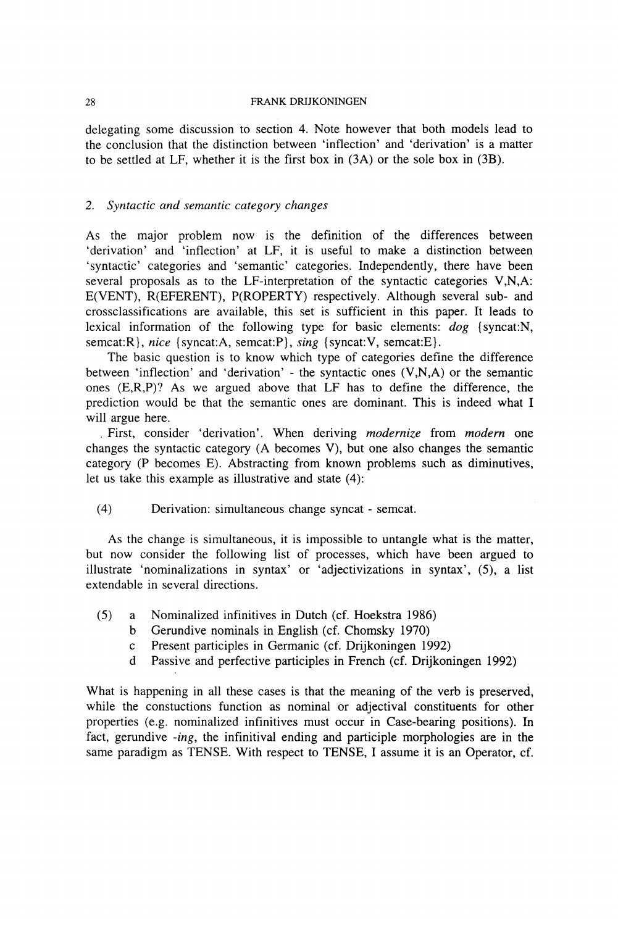delegating some discussion to section 4. Note however that both models lead to the conclusion that the distinction between 'inflection' and 'derivation' is a matter to be settled at LF, whether it is the first box in (3A) or the sole box in (3B).

### *2. Syntactic and semantic category changes*

As the major problem now is the definition of the differences between 'derivation' and 'inflection' at LF, it is useful to make a distinction between 'syntactic' categories and 'semantic' categories. Independently, there have been several proposals as to the LF-interpretation of the syntactic categories V,N,A: E(VENT), R(EFERENT), P(ROPERTY) respectively. Although several sub- and crossclassifications are available, this set is sufficient in this paper. It leads to lexical information of the following type for basic elements: *dog* {syncat:N, semcat:R}, *nice* {syncat:A, semcat:P}, *sing* {syncat:V, semcat:E}.

The basic question is to know which type of categories define the difference between 'inflection' and 'derivation' - the syntactic ones (V,N,A) or the semantic ones (E,R,P)? As we argued above that LF has to define the difference, the prediction would be that the semantic ones are dominant. This is indeed what I will argue here.

. First, consider 'derivation'. When deriving *modernize* from *modern* one changes the syntactic category (A becomes V), but one also changes the semantic category (P becomes E). Abstracting from known problems such as diminutives, let us take this example as illustrative and state (4):

(4) Derivation: simultaneous change syncat - semcat.

As the change is simultaneous, it is impossible to untangle what is the matter, but now consider the following list of processes, which have been argued to illustrate 'nominalizations in syntax' or 'adjectivizations in syntax', (5), a list extendable in several directions.

- (5) a Nominalized infinitives in Dutch (cf. Hoekstra 1986)
	- b Gerundive nominals in English (cf. Chomsky 1970)
	- c Present participles in Germanic (cf. Drijkoningen 1992)
	- d Passive and perfective participles in French (cf. Drijkoningen 1992)

What is happening in all these cases is that the meaning of the verb is preserved, while the constuctions function as nominal or adjectival constituents for other properties (e.g. nominalized infinitives must occur in Case-bearing positions). In fact, gerundive *-ing,* the infinitival ending and participle morphologies are in the same paradigm as TENSE. With respect to TENSE, I assume it is an Operator, cf.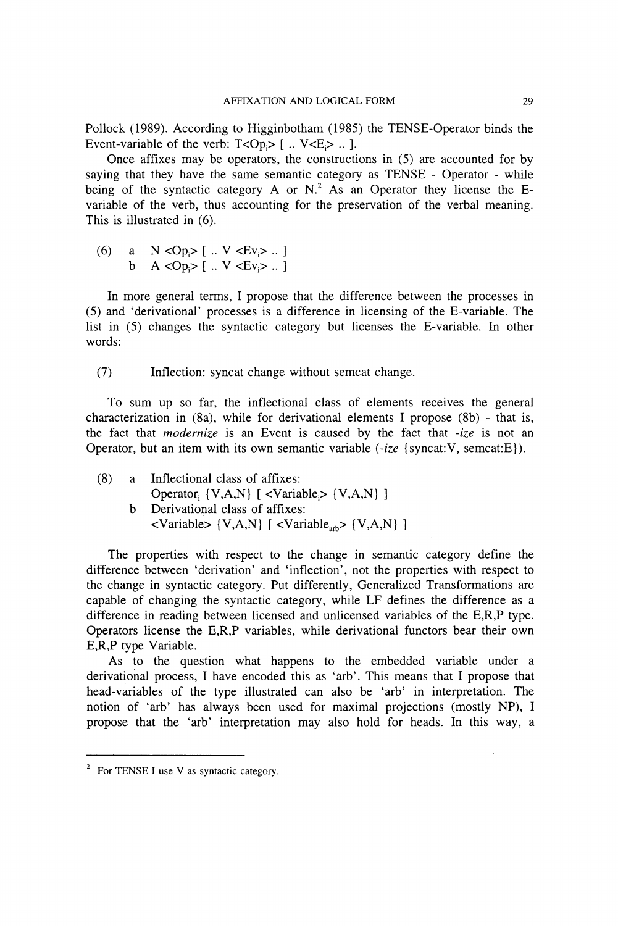Pollock (1989). According to Higginbotham (1985) the TENSE-Operator binds the Event-variable of the verb:  $T < Op > [$  ..  $V < E >$  .. ].

Once affixes may be operators, the constructions in (5) are accounted for by saying that they have the same semantic category as TENSE - Operator - while being of the syntactic category A or  $N<sup>2</sup>$ . As an Operator they license the Evariable of the verb, thus accounting for the preservation of the verbal meaning. This is illustrated in (6).

(6) a  $N < Op_i > [$   $N < Ev > .1]$ b  $A < Op_i > [$   $\ldots$   $V < Ev_i > \ldots]$ 

In more general terms, I propose that the difference between the processes in (5) and 'derivational' processes is a difference in licensing of the E-variable. The list in (5) changes the syntactic category but licenses the E-variable. In other words:

(7) Inflection: syncat change without semcat change.

To sum up so far, the inflectional class of elements receives the general characterization in  $(8a)$ , while for derivational elements I propose  $(8b)$  - that is, the fact that *modernize* is an Event is caused by the fact that *-ize* is not an Operator, but an item with its own semantic variable (*-ize* {syncat:V, semcat:E}).

(8) a Inflectional class of affixes: Operator;  $\{V, A, N\}$  [ <Variable;>  $\{V, A, N\}$  ] b Derivational class of affixes:  $\langle$ Variable> {V,A,N} [ $\langle$ Variable<sub>sty</sub>> {V,A,N} ]

The properties with respect to the change in semantic category define the difference between 'derivation' and 'inflection', not the properties with respect to the change in syntactic category. Put differently, Generalized Transformations are capable of changing the syntactic category, while LF defines the difference as a difference in reading between licensed and unlicensed variables of the E,R,P type. Operators license the E,R,P variables, while derivational functors bear their own E,R,P type Variable.

As to the question what happens to the embedded variable under a derivational process, I have encoded this as 'arb'. This means that I propose that head-variables of the type illustrated can also be 'arb' in interpretation. The notion of 'arb' has always been used for maximal projections (mostly NP), I propose that the 'arb' interpretation may also hold for heads. In this way, a

<sup>&</sup>lt;sup>2</sup> For TENSE I use V as syntactic category.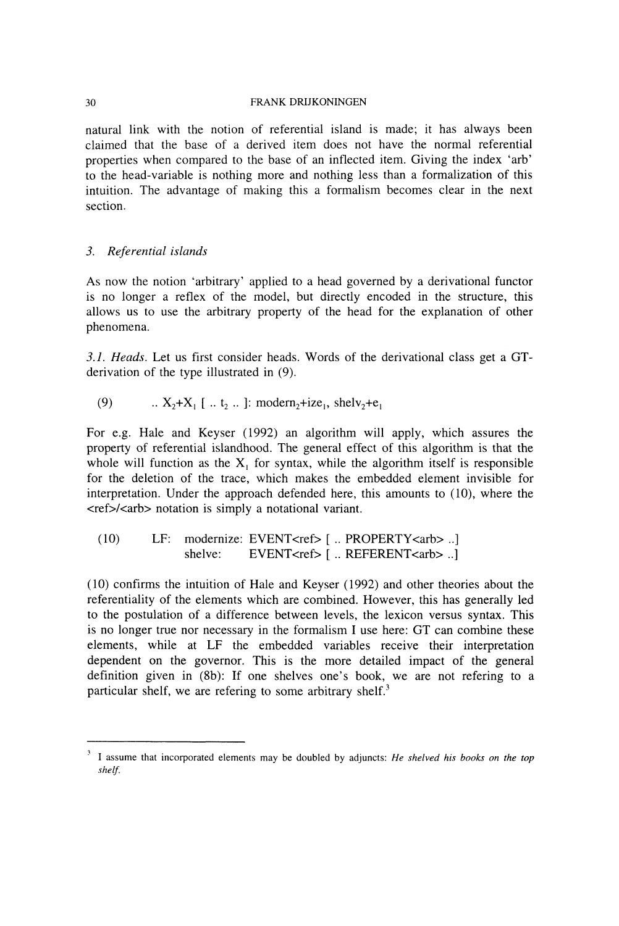natural link with the notion of referential island is made; it has always been claimed that the base of a derived item does not have the normal referential properties when compared to the base of an inflected item. Giving the index 'arb' to the head-variable is nothing more and nothing less than a formalization of this intuition. The advantage of making this a formalism becomes clear in the next section.

### *3. Referential islands*

As now the notion 'arbitrary' applied to a head governed by a derivational functor is no longer a reflex of the model, but directly encoded in the structure, this allows us to use the arbitrary property of the head for the explanation of other phenomena.

*3.1. Heads.* Let us first consider heads. Words of the derivational class get a GTderivation of the type illustrated in (9).

(9) ..  $X_2 + X_1$  [ .. t<sub>2</sub> .. ]: modern<sub>2</sub>+ize<sub>1</sub>, shelv<sub>2</sub>+e<sub>1</sub>

For e.g. Hale and Keyser (1992) an algorithm will apply, which assures the property of referential islandhood. The general effect of this algorithm is that the whole will function as the  $X_1$  for syntax, while the algorithm itself is responsible for the deletion of the trace, which makes the embedded element invisible for interpretation. Under the approach defended here, this amounts to (10), where the <ref>/<arb> notation is simply a notational variant.

```
(10) LF: modernize: EVENT<ref> [ .. PROPERTY<arb> ..] 
 shelve: EVENT<ref> [ .. REFERENT<arb> ..]
```
(10) confirms the intuition of Hale and Keyser (1992) and other theories about the referentiality of the elements which are combined. However, this has generally led to the postulation of a difference between levels, the lexicon versus syntax. This is no longer true nor necessary in the formalism I use here: GT can combine these elements, while at LF the embedded variables receive their interpretation dependent on the governor. This is the more detailed impact of the general definition given in (8b): If one shelves one's book, we are not refering to a particular shelf, we are refering to some arbitrary shelf.<sup>3</sup>

<sup>&</sup>lt;sup>3</sup> I assume that incorporated elements may be doubled by adjuncts: *He shelved his books on the top shelf.*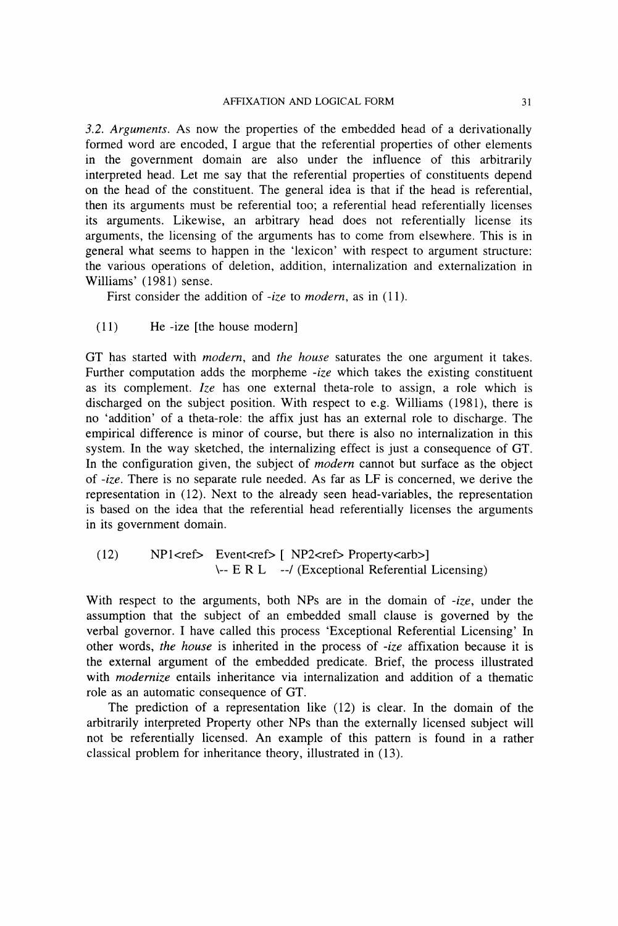*3.2. Arguments.* As now the properties of the embedded head of a derivationally formed word are encoded, I argue that the referential properties of other elements in the government domain are also under the influence of this arbitrarily interpreted head. Let me say that the referential properties of constituents depend on the head of the constituent. The general idea is that if the head is referential, then its arguments must be referential too; a referential head referentially licenses its arguments. Likewise, an arbitrary head does not referentially license its arguments, the licensing of the arguments has to come from elsewhere. This is in general what seems to happen in the 'lexicon' with respect to argument structure: the various operations of deletion, addition, internalization and externalization in Williams' (1981) sense.

First consider the addition of *-ize* to *modern,* as in (11).

(11) He -ize [the house modern]

GT has started with *modern,* and *the house* saturates the one argument it takes. Further computation adds the morpheme *-ize* which takes the existing constituent as its complement. *Ize* has one external theta-role to assign, a role which is discharged on the subject position. With respect to e.g. Williams (1981), there is no 'addition' of a theta-role: the affix just has an external role to discharge. The empirical difference is minor of course, but there is also no internalization in this system. In the way sketched, the internalizing effect is just a consequence of GT. In the configuration given, the subject of *modern* cannot but surface as the object of *-ize.* There is no separate rule needed. As far as LF is concerned, we derive the representation in (12). Next to the already seen head-variables, the representation is based on the idea that the referential head referentially licenses the arguments in its government domain.

```
(12) NP1<ref> Event<ref> [ NP2<ref> Property<arb>]
       \— E R L —/ (Exceptional Referential Licensing)
```
With respect to the arguments, both NPs are in the domain of *-ize,* under the assumption that the subject of an embedded small clause is governed by the verbal governor. I have called this process 'Exceptional Referential Licensing' In other words, *the house* is inherited in the process of *-ize* affixation because it is the external argument of the embedded predicate. Brief, the process illustrated with *modernize* entails inheritance via internalization and addition of a thematic role as an automatic consequence of GT.

The prediction of a representation like (12) is clear. In the domain of the arbitrarily interpreted Property other NPs than the externally licensed subject will not be referentially licensed. An example of this pattern is found in a rather classical problem for inheritance theory, illustrated in (13).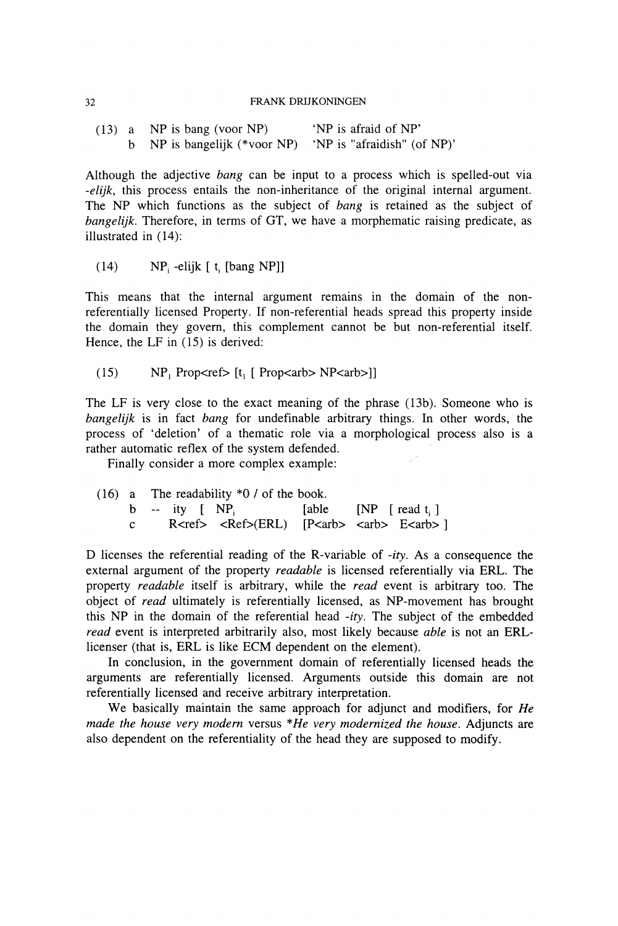|  | $(13)$ a NP is bang (voor NP)                            | 'NP is afraid of NP' |  |  |
|--|----------------------------------------------------------|----------------------|--|--|
|  | b NP is bangelijk (*voor NP) 'NP is "afraidish" (of NP)' |                      |  |  |

Although the adjective *bang* can be input to a process which is spelled-out via *-elijk,* this process entails the non-inheritance of the original internal argument. The NP which functions as the subject of *bang* is retained as the subject of *bangelijk.* Therefore, in terms of GT, we have a morphematic raising predicate, as illustrated in (14):

(14)  $NP_i$  -elijk [ t<sub>i</sub> [bang NP]]

This means that the internal argument remains in the domain of the nonreferentially licensed Property. If non-referential heads spread this property inside the domain they govern, this complement cannot be but non-referential itself. Hence, the LF in (15) is derived:

(15)  $NP_1$  Prop $\leq ref$  [t<sub>1</sub> [ Prop $\leq$ arb $>$  NP $\leq$ arb $>$ ]]

The LF is very close to the exact meaning of the phrase (13b). Someone who is *bangelijk* is in fact *bang* for undefinable arbitrary things. In other words, the process of 'deletion' of a thematic role via a morphological process also is a rather automatic reflex of the system defended.

Finally consider a more complex example:

|  |                               |  | $(16)$ a The readability $*0/$ of the book.                                          |  |  |
|--|-------------------------------|--|--------------------------------------------------------------------------------------|--|--|
|  |                               |  | $b - ity \mid NP_i$ [able $NP$ [read t, ]                                            |  |  |
|  | $\mathbf{c}$ and $\mathbf{c}$ |  | $R < r \in S$ $\leq R \in S$ $\leq R L$ $\leq R \in S$ $\leq R \in S$ $\leq R \in S$ |  |  |

D licenses the referential reading of the R-variable of *-ity.* As a consequence the external argument of the property *readable* is licensed referentially via ERL. The property *readable* itself is arbitrary, while the *read* event is arbitrary too. The object of *read* ultimately is referentially licensed, as NP-movement has brought this NP in the domain of the referential head *-ity.* The subject of the embedded *read* event is interpreted arbitrarily also, most likely because *able* is not an ERLlicenser (that is, ERL is like ECM dependent on the element).

In conclusion, in the government domain of referentially licensed heads the arguments are referentially licensed. Arguments outside this domain are not referentially licensed and receive arbitrary interpretation.

We basically maintain the same approach for adjunct and modifiers, for *He made the house very modern* versus *\*He very modernized the house.* Adjuncts are also dependent on the referentiality of the head they are supposed to modify.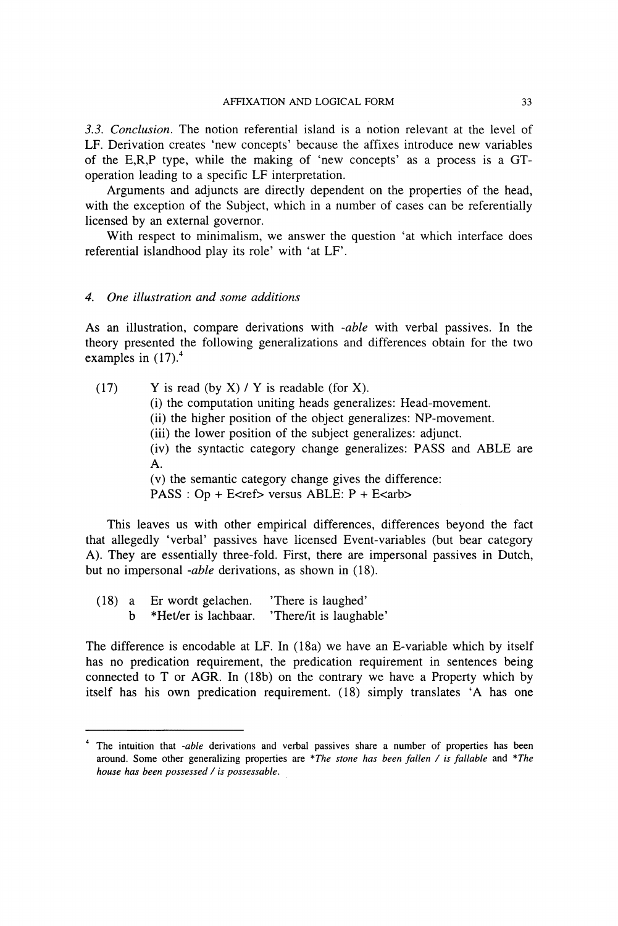*3.3. Conclusion.* The notion referential island is a notion relevant at the level of LF. Derivation creates 'new concepts' because the affixes introduce new variables of the E,R,P type, while the making of 'new concepts' as a process is a GToperation leading to a specific LF interpretation.

Arguments and adjuncts are directly dependent on the properties of the head, with the exception of the Subject, which in a number of cases can be referentially licensed by an external governor.

With respect to minimalism, we answer the question 'at which interface does referential islandhood play its role' with 'at LF'.

### *4. One illustration and some additions*

As an illustration, compare derivations with *-able* with verbal passives. In the theory presented the following generalizations and differences obtain for the two examples in  $(17)$ .<sup>4</sup>

(17) Y is read (by X) / Y is readable (for X). (i) the computation uniting heads generalizes: Head-movement. (ii) the higher position of the object generalizes: NP-movement. (iii) the lower position of the subject generalizes: adjunct. (iv) the syntactic category change generalizes: PASS and ABLE are A. (v) the semantic category change gives the difference:  $PASS: Op + E \leq ref$  versus ABLE:  $P + E \leq arb$ 

This leaves us with other empirical differences, differences beyond the fact that allegedly 'verbal' passives have licensed Event-variables (but bear category A). They are essentially three-fold. First, there are impersonal passives in Dutch, but no impersonal *-able* derivations, as shown in (18).

(18) a Er wordt gelachen. 'There is laughed' b \*Het/er is lachbaar. 'There/it is laughable'

The difference is encodable at LF. In (18a) we have an E-variable which by itself has no predication requirement, the predication requirement in sentences being connected to T or AGR. In (18b) on the contrary we have a Property which by itself has his own predication requirement. (18) simply translates 'A has one

**<sup>4</sup>**The intuition that *-able* derivations and verbal passives share a number of properties has been around. Some other generalizing properties are *\*The stone has been fallen / is fallable* and *\*The house has been possessed / is possessable.*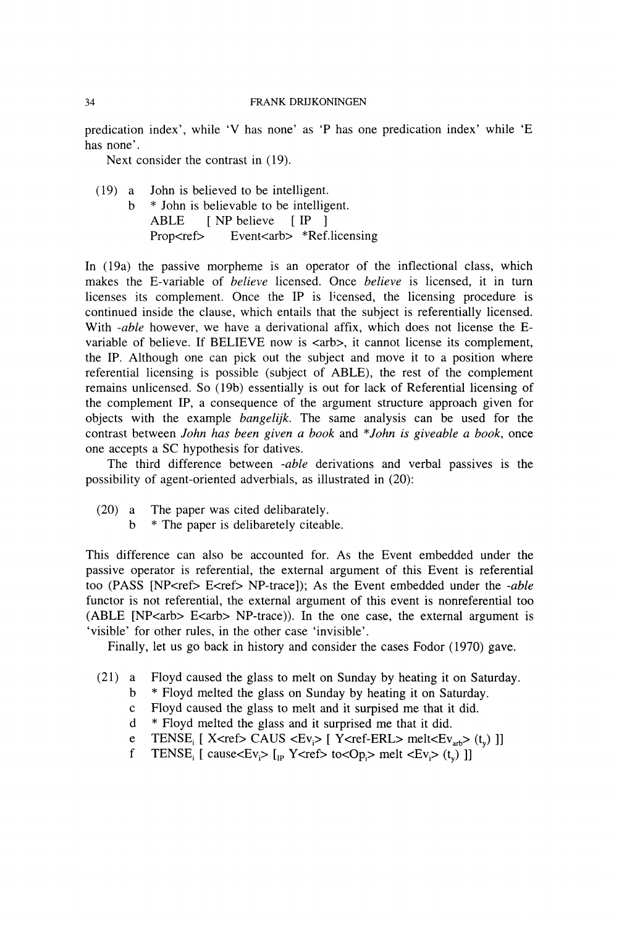predication index', while 'V has none' as 'P has one predication index' while 'E has none'.

Next consider the contrast in (19).

(19) a John is believed to be intelligent. b \* John is believable to be intelligent. ABLE [ NP believe [ IP ] Prop<ref> Event<arb> \*Ref.licensing

In (19a) the passive morpheme is an operator of the inflectional class, which makes the E-variable of *believe* licensed. Once *believe* is licensed, it in turn licenses its complement. Once the IP is licensed, the licensing procedure is continued inside the clause, which entails that the subject is referentially licensed. With *-able* however, we have a derivational affix, which does not license the Evariable of believe. If BELIEVE now is  $\langle$ arb>, it cannot license its complement, the IP. Although one can pick out the subject and move it to a position where referential licensing is possible (subject of ABLE), the rest of the complement remains unlicensed. So (19b) essentially is out for lack of Referential licensing of the complement IP, a consequence of the argument structure approach given for objects with the example *bangelijk.* The same analysis can be used for the contrast between *John has been given a book* and *\* John is giveable a book,* once one accepts a SC hypothesis for datives.

The third difference between *-able* derivations and verbal passives is the possibility of agent-oriented adverbials, as illustrated in (20):

- (20) a The paper was cited delibarately.
	- b \* The paper is delibaretely citeable.

This difference can also be accounted for. As the Event embedded under the passive operator is referential, the external argument of this Event is referential too (PASS [NP<ref> E<ref> NP-trace]); As the Event embedded under the *-able* functor is not referential, the external argument of this event is nonreferential too (ABLE [NP<arb> E<arb> NP-trace)). In the one case, the external argument is 'visible' for other rules, in the other case 'invisible'.

Finally, let us go back in history and consider the cases Fodor (1970) gave.

- (21) a Floyd caused the glass to melt on Sunday by heating it on Saturday,
	- b \* Floyd melted the glass on Sunday by heating it on Saturday.
	- c Floyd caused the glass to melt and it surpised me that it did.
	- d \* Floyd melted the glass and it surprised me that it did.
	- e TENSE<sub>i</sub> [ X<ref> CAUS <Ev<sub>i</sub>> [ Y<ref-ERL> melt<Ev<sub>arb</sub>> (t<sub>v</sub>) ]]
	- f TENSE<sub>i</sub> [ cause<Ev<sub>i</sub>> [<sub>IP</sub> Y<ref> to<Op<sub>i</sub>> melt <Ev<sub>i</sub>> (t<sub>v</sub>) ]]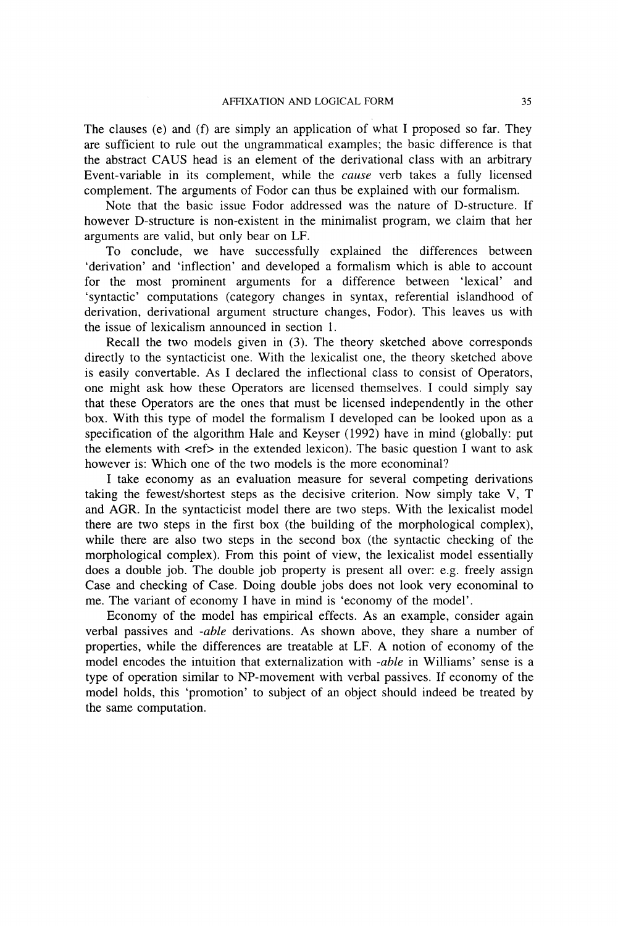The clauses (e) and (f) are simply an application of what I proposed so far. They are sufficient to rule out the ungrammatical examples; the basic difference is that the abstract CAUS head is an element of the derivational class with an arbitrary Event-variable in its complement, while the *cause* verb takes a fully licensed complement. The arguments of Fodor can thus be explained with our formalism.

Note that the basic issue Fodor addressed was the nature of D-structure. If however D-structure is non-existent in the minimalist program, we claim that her arguments are valid, but only bear on LF.

To conclude, we have successfully explained the differences between 'derivation' and 'inflection' and developed a formalism which is able to account for the most prominent arguments for a difference between 'lexical' and 'syntactic' computations (category changes in syntax, referential islandhood of derivation, derivational argument structure changes, Fodor). This leaves us with the issue of lexicalism announced in section 1.

Recall the two models given in (3). The theory sketched above corresponds directly to the syntacticist one. With the lexicalist one, the theory sketched above is easily convertable. As I declared the inflectional class to consist of Operators, one might ask how these Operators are licensed themselves. I could simply say that these Operators are the ones that must be licensed independently in the other box. With this type of model the formalism I developed can be looked upon as a specification of the algorithm Hale and Keyser (1992) have in mind (globally: put the elements with  $\langle$ ref $>$  in the extended lexicon). The basic question I want to ask however is: Which one of the two models is the more econominal?

I take economy as an evaluation measure for several competing derivations taking the fewest/shortest steps as the decisive criterion. Now simply take V, T and AGR. In the syntacticist model there are two steps. With the lexicalist model there are two steps in the first box (the building of the morphological complex), while there are also two steps in the second box (the syntactic checking of the morphological complex). From this point of view, the lexicalist model essentially does a double job. The double job property is present all over: e.g. freely assign Case and checking of Case, Doing double jobs does not look very econominal to me. The variant of economy I have in mind is 'economy of the model'.

Economy of the model has empirical effects. As an example, consider again verbal passives and *-able* derivations. As shown above, they share a number of properties, while the differences are treatable at LF. A notion of economy of the model encodes the intuition that externalization with *-able* in Williams' sense is a type of operation similar to NP-movement with verbal passives. If economy of the model holds, this 'promotion' to subject of an object should indeed be treated by the same computation.